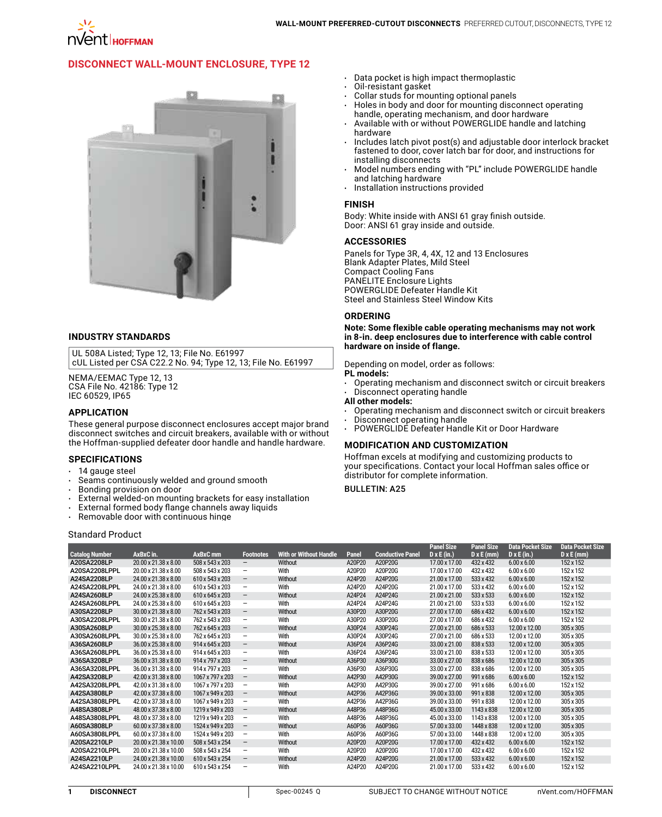# **[Disconnect Wall-Mount Enclosure, Type 12](http://hoffman.nvent.com/en/hoffman/Preferred-Cutout-Disconnect-Enclosure-Type-12)**



### **INDUSTRY STANDARDS**

UL 508A Listed; Type 12, 13; File No. E61997 cUL Listed per CSA C22.2 No. 94; Type 12, 13; File No. E61997

NEMA/EEMAC Type 12, 13 CSA File No. 42186: Type 12 IEC 60529, IP65

### **APPLICATION**

These general purpose disconnect enclosures accept major brand disconnect switches and circuit breakers, available with or without the Hoffman-supplied defeater door handle and handle hardware.

#### **SPECIFICATIONS**

- 
- $\cdot$  14 gauge steel<br> $\cdot$  Seams continu Seams continuously welded and ground smooth
- • Bonding provision on door
- External welded-on mounting brackets for easy installation
- • External formed body flange channels away liquids
- $\cdot$  Removable door with continuous hinge

### Standard Product

- • Data pocket is high impact thermoplastic
- Oil-resistant gasket
- Collar studs for mounting optional panels
- Holes in body and door for mounting disconnect operating handle, operating mechanism, and door hardware
- Available with or without POWERGLIDE handle and latching hardware
- Includes latch pivot post(s) and adjustable door interlock bracket fastened to door, cover latch bar for door, and instructions for installing disconnects
- Model numbers ending with "PL" include POWERGLIDE handle and latching hardware
- Installation instructions provided

### **FINISH**

Body: White inside with ANSI 61 gray finish outside. Door: ANSI 61 gray inside and outside.

#### **ACCESSORIES**

Panels for Type 3R, 4, 4X, 12 and 13 Enclosures Blank Adapter Plates, Mild Steel Compact Cooling Fans PANELITE Enclosure Lights POWERGLIDE Defeater Handle Kit Steel and Stainless Steel Window Kits

#### **ORDERING**

**Note: Some flexible cable operating mechanisms may not work in 8-in. deep enclosures due to interference with cable control hardware on inside of flange.**

Depending on model, order as follows:

# **PL models:**

Operating mechanism and disconnect switch or circuit breakers Disconnect operating handle

### **All other models:**

- Operating mechanism and disconnect switch or circuit breakers
- Disconnect operating handle
- POWERGLIDE Defeater Handle Kit or Door Hardware

### **MODIFICATION AND CUSTOMIZATION**

Hoffman excels at modifying and customizing products to your specifications. Contact your local Hoffman sales office or distributor for complete information.

## **BULLETIN: A25**

|                       |                       |                  |                          |                               |        |                         | <b>Panel Size</b>  | <b>Panel Size</b> | <b>Data Pocket Size</b> | <b>Data Pocket Size</b> |
|-----------------------|-----------------------|------------------|--------------------------|-------------------------------|--------|-------------------------|--------------------|-------------------|-------------------------|-------------------------|
| <b>Catalog Number</b> | AxBxC in.             | AxBxC mm         | <b>Footnotes</b>         | <b>With or Without Handle</b> | Panel  | <b>Conductive Panel</b> | $D \times E$ (in.) | $D \times E$ (mm) | $D \times E$ (in.)      | $D \times E$ (mm)       |
| A20SA2208LP           | 20.00 x 21.38 x 8.00  | 508 x 543 x 203  | $\overline{\phantom{0}}$ | Without                       | A20P20 | A20P20G                 | 17.00 x 17.00      | 432 x 432         | $6.00 \times 6.00$      | 152 x 152               |
| A20SA2208LPPL         | 20.00 x 21.38 x 8.00  | 508 x 543 x 203  | -                        | With                          | A20P20 | A20P20G                 | 17.00 x 17.00      | 432 x 432         | $6.00 \times 6.00$      | 152 x 152               |
| A24SA2208LP           | 24.00 x 21.38 x 8.00  | 610 x 543 x 203  | $\overline{\phantom{m}}$ | Without                       | A24P20 | A24P20G                 | 21.00 x 17.00      | 533 x 432         | $6.00 \times 6.00$      | 152 x 152               |
| A24SA2208LPPL         | 24.00 x 21.38 x 8.00  | 610 x 543 x 203  | -                        | With                          | A24P20 | A24P20G                 | 21.00 x 17.00      | 533 x 432         | $6.00 \times 6.00$      | 152 x 152               |
| A24SA2608LP           | 24.00 x 25.38 x 8.00  | 610 x 645 x 203  | -                        | Without                       | A24P24 | A24P24G                 | 21.00 x 21.00      | 533 x 533         | $6.00 \times 6.00$      | 152 x 152               |
| A24SA2608LPPL         | 24.00 x 25.38 x 8.00  | 610 x 645 x 203  | -                        | With                          | A24P24 | A24P24G                 | 21.00 x 21.00      | 533 x 533         | $6.00 \times 6.00$      | 152 x 152               |
| A30SA2208LP           | 30.00 x 21.38 x 8.00  | 762 x 543 x 203  | $\overline{\phantom{m}}$ | Without                       | A30P20 | A30P20G                 | 27.00 x 17.00      | 686 x 432         | $6.00 \times 6.00$      | 152 x 152               |
| A30SA2208LPPL         | 30.00 x 21.38 x 8.00  | 762 x 543 x 203  | -                        | With                          | A30P20 | A30P20G                 | 27.00 x 17.00      | 686 x 432         | $6.00 \times 6.00$      | 152 x 152               |
| A30SA2608LP           | 30.00 x 25.38 x 8.00  | 762 x 645 x 203  | -                        | Without                       | A30P24 | A30P24G                 | 27.00 x 21.00      | 686 x 533         | 12.00 x 12.00           | 305 x 305               |
| A30SA2608LPPL         | 30.00 x 25.38 x 8.00  | 762 x 645 x 203  | -                        | With                          | A30P24 | A30P24G                 | 27.00 x 21.00      | 686 x 533         | 12.00 x 12.00           | 305 x 305               |
| A36SA2608LP           | 36.00 x 25.38 x 8.00  | 914 x 645 x 203  | -                        | Without                       | A36P24 | A36P24G                 | 33.00 x 21.00      | 838 x 533         | 12.00 x 12.00           | 305 x 305               |
| A36SA2608LPPL         | 36.00 x 25.38 x 8.00  | 914 x 645 x 203  | -                        | With                          | A36P24 | A36P24G                 | 33.00 x 21.00      | 838 x 533         | 12.00 x 12.00           | 305 x 305               |
| A36SA3208LP           | 36.00 x 31.38 x 8.00  | 914 x 797 x 203  | $\overline{\phantom{0}}$ | Without                       | A36P30 | A36P30G                 | 33.00 x 27.00      | 838 x 686         | 12.00 x 12.00           | 305 x 305               |
| A36SA3208LPPL         | 36.00 x 31.38 x 8.00  | 914 x 797 x 203  | -                        | With                          | A36P30 | A36P30G                 | 33.00 x 27.00      | 838 x 686         | 12.00 x 12.00           | 305 x 305               |
| A42SA3208LP           | 42.00 x 31.38 x 8.00  | 1067 x 797 x 203 | -                        | Without                       | A42P30 | A42P30G                 | 39.00 x 27.00      | 991 x 686         | $6.00 \times 6.00$      | 152 x 152               |
| A42SA3208LPPL         | 42.00 x 31.38 x 8.00  | 1067 x 797 x 203 | -                        | With                          | A42P30 | A42P30G                 | 39.00 x 27.00      | 991 x 686         | $6.00 \times 6.00$      | 152 x 152               |
| A42SA3808LP           | 42.00 x 37.38 x 8.00  | 1067 x 949 x 203 | $\overline{\phantom{m}}$ | Without                       | A42P36 | A42P36G                 | 39.00 x 33.00      | 991 x 838         | 12.00 x 12.00           | 305 x 305               |
| A42SA3808LPPL         | 42.00 x 37.38 x 8.00  | 1067 x 949 x 203 | -                        | With                          | A42P36 | A42P36G                 | 39.00 x 33.00      | 991 x 838         | 12.00 x 12.00           | 305 x 305               |
| A48SA3808LP           | 48.00 x 37.38 x 8.00  | 1219 x 949 x 203 | $\overline{\phantom{0}}$ | Without                       | A48P36 | A48P36G                 | 45.00 x 33.00      | 1143 x 838        | 12.00 x 12.00           | 305 x 305               |
| A48SA3808LPPL         | 48.00 x 37.38 x 8.00  | 1219 x 949 x 203 | -                        | With                          | A48P36 | A48P36G                 | 45.00 x 33.00      | 1143 x 838        | 12.00 x 12.00           | 305 x 305               |
| A60SA3808LP           | 60.00 x 37.38 x 8.00  | 1524 x 949 x 203 | -                        | Without                       | A60P36 | A60P36G                 | 57.00 x 33.00      | 1448 x 838        | 12.00 x 12.00           | 305 x 305               |
| A60SA3808LPPL         | 60.00 x 37.38 x 8.00  | 1524 x 949 x 203 | -                        | With                          | A60P36 | A60P36G                 | 57.00 x 33.00      | 1448 x 838        | 12.00 x 12.00           | 305 x 305               |
| A20SA2210LP           | 20.00 x 21.38 x 10.00 | 508 x 543 x 254  | $\qquad \qquad -$        | Without                       | A20P20 | A20P20G                 | 17.00 x 17.00      | 432 x 432         | $6.00 \times 6.00$      | 152 x 152               |
| A20SA2210LPPL         | 20.00 x 21.38 x 10.00 | 508 x 543 x 254  | -                        | With                          | A20P20 | A20P20G                 | 17.00 x 17.00      | 432 x 432         | $6.00 \times 6.00$      | 152 x 152               |
| A24SA2210LP           | 24.00 x 21.38 x 10.00 | 610 x 543 x 254  | $\qquad \qquad -$        | Without                       | A24P20 | A24P20G                 | 21.00 x 17.00      | 533 x 432         | $6.00 \times 6.00$      | 152 x 152               |
| A24SA2210LPPL         | 24.00 x 21.38 x 10.00 | 610 x 543 x 254  | -                        | With                          | A24P20 | A24P20G                 | 21.00 x 17.00      | 533 x 432         | $6.00 \times 6.00$      | 152 x 152               |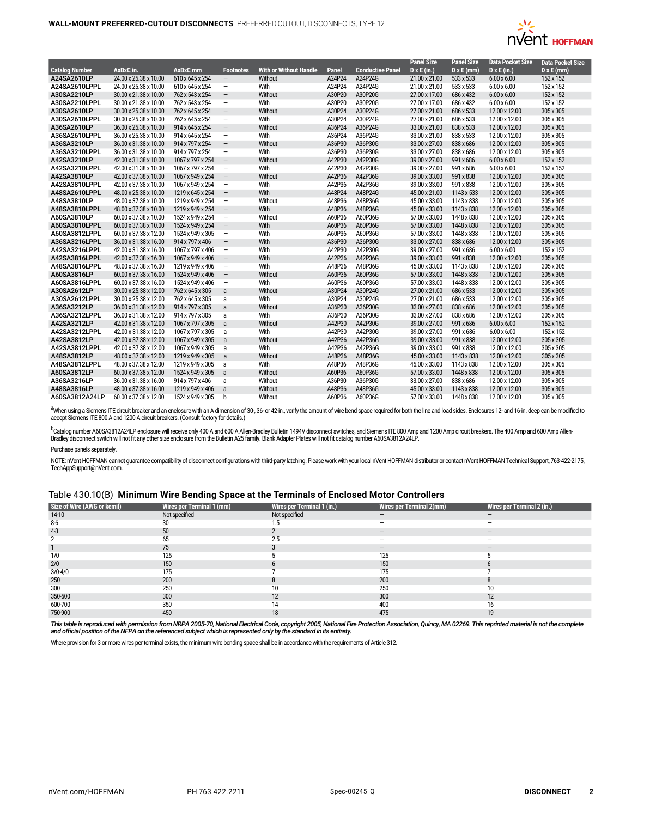

|                       |                       |                  |                          |                               |        |                         | <b>Panel Size</b>  | <b>Panel Size</b> | <b>Data Pocket Size</b> | <b>Data Pocket Size</b> |
|-----------------------|-----------------------|------------------|--------------------------|-------------------------------|--------|-------------------------|--------------------|-------------------|-------------------------|-------------------------|
| <b>Catalog Number</b> | AxBxC in.             | <b>AxBxC</b> mm  | <b>Footnotes</b>         | <b>With or Without Handle</b> | Panel  | <b>Conductive Panel</b> | $D \times E$ (in.) | $D \times E$ (mm) | $D \times E$ (in.)      | $D \times E$ (mm)       |
| A24SA2610LP           | 24.00 x 25.38 x 10.00 | 610 x 645 x 254  | $\overline{\phantom{m}}$ | Without                       | A24P24 | A24P24G                 | 21.00 x 21.00      | 533 x 533         | $6.00 \times 6.00$      | 152 x 152               |
| A24SA2610LPPL         | 24.00 x 25.38 x 10.00 | 610 x 645 x 254  | $\overline{\phantom{a}}$ | With                          | A24P24 | A24P24G                 | 21.00 x 21.00      | 533 x 533         | $6.00 \times 6.00$      | 152 x 152               |
| A30SA2210LP           | 30.00 x 21.38 x 10.00 | 762 x 543 x 254  | $\overline{\phantom{m}}$ | Without                       | A30P20 | A30P20G                 | 27.00 x 17.00      | 686 x 432         | $6.00 \times 6.00$      | 152 x 152               |
| A30SA2210LPPL         | 30.00 x 21.38 x 10.00 | 762 x 543 x 254  | $\overline{\phantom{a}}$ | With                          | A30P20 | A30P20G                 | 27.00 x 17.00      | 686 x 432         | $6.00 \times 6.00$      | 152 x 152               |
| A30SA2610LP           | 30.00 x 25.38 x 10.00 | 762 x 645 x 254  | $\overline{\phantom{m}}$ | Without                       | A30P24 | A30P24G                 | 27.00 x 21.00      | 686 x 533         | 12.00 x 12.00           | 305 x 305               |
| A30SA2610LPPL         | 30.00 x 25.38 x 10.00 | 762 x 645 x 254  | $\overline{\phantom{a}}$ | With                          | A30P24 | A30P24G                 | 27.00 x 21.00      | 686 x 533         | 12.00 x 12.00           | 305 x 305               |
| A36SA2610LP           | 36.00 x 25.38 x 10.00 | 914 x 645 x 254  | $\overline{\phantom{m}}$ | Without                       | A36P24 | A36P24G                 | 33.00 x 21.00      | 838 x 533         | 12.00 x 12.00           | 305 x 305               |
| A36SA2610LPPL         | 36.00 x 25.38 x 10.00 | 914 x 645 x 254  | $\overline{\phantom{a}}$ | With                          | A36P24 | A36P24G                 | 33.00 x 21.00      | 838 x 533         | 12.00 x 12.00           | 305 x 305               |
| A36SA3210LP           | 36.00 x 31.38 x 10.00 | 914 x 797 x 254  | $\overline{\phantom{a}}$ | Without                       | A36P30 | A36P30G                 | 33.00 x 27.00      | 838 x 686         | 12.00 x 12.00           | 305 x 305               |
| A36SA3210LPPL         | 36.00 x 31.38 x 10.00 | 914 x 797 x 254  | $\overline{\phantom{m}}$ | With                          | A36P30 | A36P30G                 | 33.00 x 27.00      | 838 x 686         | 12.00 x 12.00           | 305 x 305               |
| A42SA3210LP           | 42.00 x 31.38 x 10.00 | 1067 x 797 x 254 | $\overline{\phantom{a}}$ | Without                       | A42P30 | A42P30G                 | 39.00 x 27.00      | 991 x 686         | $6.00 \times 6.00$      | 152 x 152               |
| A42SA3210LPPL         | 42.00 x 31.38 x 10.00 | 1067 x 797 x 254 | $\overline{\phantom{a}}$ | With                          | A42P30 | A42P30G                 | 39.00 x 27.00      | 991 x 686         | $6.00 \times 6.00$      | 152 x 152               |
| A42SA3810LP           | 42.00 x 37.38 x 10.00 | 1067 x 949 x 254 | $\overline{\phantom{a}}$ | Without                       | A42P36 | A42P36G                 | 39.00 x 33.00      | 991 x 838         | 12.00 x 12.00           | 305 x 305               |
| A42SA3810LPPL         | 42.00 x 37.38 x 10.00 | 1067 x 949 x 254 | $\overline{\phantom{a}}$ | With                          | A42P36 | A42P36G                 | 39.00 x 33.00      | 991 x 838         | 12.00 x 12.00           | 305 x 305               |
| A48SA2610LPPL         | 48.00 x 25.38 x 10.00 | 1219 x 645 x 254 | $\overline{\phantom{a}}$ | With                          | A48P24 | A48P24G                 | 45.00 x 21.00      | 1143 x 533        | 12.00 x 12.00           | 305 x 305               |
| A48SA3810LP           | 48.00 x 37.38 x 10.00 | 1219 x 949 x 254 | $\overline{\phantom{a}}$ | Without                       | A48P36 | A48P36G                 | 45.00 x 33.00      | 1143 x 838        | 12.00 x 12.00           | 305 x 305               |
| A48SA3810LPPL         | 48.00 x 37.38 x 10.00 | 1219 x 949 x 254 | $\overline{\phantom{a}}$ | With                          | A48P36 | A48P36G                 | 45.00 x 33.00      | 1143 x 838        | 12.00 x 12.00           | 305 x 305               |
| A60SA3810LP           | 60.00 x 37.38 x 10.00 | 1524 x 949 x 254 | $\overline{\phantom{a}}$ | Without                       | A60P36 | A60P36G                 | 57.00 x 33.00      | 1448 x 838        | 12.00 x 12.00           | 305 x 305               |
| A60SA3810LPPL         | 60.00 x 37.38 x 10.00 | 1524 x 949 x 254 | $\overline{\phantom{a}}$ | With                          | A60P36 | A60P36G                 | 57.00 x 33.00      | 1448 x 838        | 12.00 x 12.00           | 305 x 305               |
| A60SA3812LPPL         | 60.00 x 37.38 x 12.00 | 1524 x 949 x 305 | $\overline{\phantom{a}}$ | With                          | A60P36 | A60P36G                 | 57.00 x 33.00      | 1448 x 838        | 12.00 x 12.00           | 305 x 305               |
| A36SA3216LPPL         | 36.00 x 31.38 x 16.00 | 914 x 797 x 406  | $\overline{\phantom{m}}$ | With                          | A36P30 | A36P30G                 | 33.00 x 27.00      | 838 x 686         | 12.00 x 12.00           | 305 x 305               |
| A42SA3216LPPL         | 42.00 x 31.38 x 16.00 | 1067 x 797 x 406 | $\overline{\phantom{a}}$ | With                          | A42P30 | A42P30G                 | 39.00 x 27.00      | 991 x 686         | $6.00 \times 6.00$      | 152 x 152               |
| A42SA3816LPPL         | 42.00 x 37.38 x 16.00 | 1067 x 949 x 406 | $\overline{\phantom{m}}$ | With                          | A42P36 | A42P36G                 | 39.00 x 33.00      | 991 x 838         | 12.00 x 12.00           | 305 x 305               |
| A48SA3816LPPL         | 48.00 x 37.38 x 16.00 | 1219 x 949 x 406 | $\overline{\phantom{a}}$ | With                          | A48P36 | A48P36G                 | 45.00 x 33.00      | 1143 x 838        | 12.00 x 12.00           | 305 x 305               |
| A60SA3816LP           | 60.00 x 37.38 x 16.00 | 1524 x 949 x 406 | $\overline{\phantom{a}}$ | Without                       | A60P36 | A60P36G                 | 57.00 x 33.00      | 1448 x 838        | 12.00 x 12.00           | 305 x 305               |
| A60SA3816LPPL         | 60.00 x 37.38 x 16.00 | 1524 x 949 x 406 | $\overline{\phantom{a}}$ | With                          | A60P36 | A60P36G                 | 57.00 x 33.00      | 1448 x 838        | 12.00 x 12.00           | 305 x 305               |
| A30SA2612LP           | 30.00 x 25.38 x 12.00 | 762 x 645 x 305  | a                        | Without                       | A30P24 | A30P24G                 | 27.00 x 21.00      | 686 x 533         | 12.00 x 12.00           | 305 x 305               |
| A30SA2612LPPL         | 30.00 x 25.38 x 12.00 | 762 x 645 x 305  | a                        | With                          | A30P24 | A30P24G                 | 27.00 x 21.00      | 686 x 533         | 12.00 x 12.00           | 305 x 305               |
| A36SA3212LP           | 36.00 x 31.38 x 12.00 | 914 x 797 x 305  | a                        | Without                       | A36P30 | A36P30G                 | 33.00 x 27.00      | 838 x 686         | 12.00 x 12.00           | 305 x 305               |
| A36SA3212LPPL         | 36.00 x 31.38 x 12.00 | 914 x 797 x 305  | a                        | With                          | A36P30 | A36P30G                 | 33.00 x 27.00      | 838 x 686         | 12.00 x 12.00           | 305 x 305               |
| A42SA3212LP           | 42.00 x 31.38 x 12.00 | 1067 x 797 x 305 | a                        | Without                       | A42P30 | A42P30G                 | 39.00 x 27.00      | 991 x 686         | $6.00 \times 6.00$      | 152 x 152               |
| A42SA3212LPPL         | 42.00 x 31.38 x 12.00 | 1067 x 797 x 305 | a                        | With                          | A42P30 | A42P30G                 | 39.00 x 27.00      | 991 x 686         | $6.00 \times 6.00$      | 152 x 152               |
| A42SA3812LP           | 42.00 x 37.38 x 12.00 | 1067 x 949 x 305 | a                        | Without                       | A42P36 | A42P36G                 | 39.00 x 33.00      | 991 x 838         | 12.00 x 12.00           | 305 x 305               |
| A42SA3812LPPL         | 42.00 x 37.38 x 12.00 | 1067 x 949 x 305 | a                        | With                          | A42P36 | A42P36G                 | 39.00 x 33.00      | 991 x 838         | 12.00 x 12.00           | 305 x 305               |
| A48SA3812LP           | 48.00 x 37.38 x 12.00 | 1219 x 949 x 305 | $\mathsf{a}$             | Without                       | A48P36 | A48P36G                 | 45.00 x 33.00      | 1143 x 838        | 12.00 x 12.00           | 305 x 305               |
| A48SA3812LPPL         | 48.00 x 37.38 x 12.00 | 1219 x 949 x 305 | a                        | With                          | A48P36 | A48P36G                 | 45.00 x 33.00      | 1143 x 838        | 12.00 x 12.00           | 305 x 305               |
| A60SA3812LP           | 60.00 x 37.38 x 12.00 | 1524 x 949 x 305 | a                        | Without                       | A60P36 | A60P36G                 | 57.00 x 33.00      | 1448 x 838        | 12.00 x 12.00           | 305 x 305               |
| A36SA3216LP           | 36.00 x 31.38 x 16.00 | 914 x 797 x 406  | a                        | Without                       | A36P30 | A36P30G                 | 33.00 x 27.00      | 838 x 686         | 12.00 x 12.00           | 305 x 305               |
| A48SA3816LP           | 48.00 x 37.38 x 16.00 | 1219 x 949 x 406 | a                        | Without                       | A48P36 | A48P36G                 | 45.00 x 33.00      | 1143 x 838        | 12.00 x 12.00           | 305 x 305               |
| A60SA3812A24LP        | 60.00 x 37.38 x 12.00 | 1524 x 949 x 305 | b                        | Without                       | A60P36 | A60P36G                 | 57.00 x 33.00      | 1448 x 838        | 12.00 x 12.00           | 305 x 305               |

<sup>a</sup>When using a Siemens ITE circuit breaker and an enclosure with an A dimension of 30-, 36- or 42-in., verify the amount of wire bend space required for both the line and load sides. Enclosures 12- and 16-in. deep can be

<sup>b</sup>Catalog number A60SA3812A24LP enclosure will receive only 400 A and 600 A Allen-Bradley Bulletin 1494V disconnect switches, and Siemens ITE 800 Amp and 1200 Amp circuit breakers. The 400 Amp and 600 Amp Allen-<br>Bradley d

Purchase panels separately.

NOTE: nVent HOFFMAN cannot guarantee compatibility of disconnect configurations with third-party latching. Please work with your local nVent HOFFMAN distributor or contact nVent HOFFMAN Technical Support, 763-422-2175,<br>Tec

# Table 430.10(B) **Minimum Wire Bending Space at the Terminals of Enclosed Motor Controllers**

| <b>Size of Wire (AWG or kcmil)</b> | <b>Wires per Terminal 1 (mm)</b> | Wires per Terminal 1 (in.) | <b>Wires per Terminal 2(mm)</b> | Wires per Terminal 2 (in.) |
|------------------------------------|----------------------------------|----------------------------|---------------------------------|----------------------------|
| $14-10$                            | Not specified                    | Not specified              |                                 |                            |
| $8-6$                              | 30                               |                            |                                 | -                          |
| $4-3$                              | 50                               |                            |                                 | $\overline{\phantom{a}}$   |
|                                    | 65                               | 2.5                        |                                 | -                          |
|                                    | 75                               |                            | $\qquad \qquad \blacksquare$    |                            |
| 1/0                                | 125                              |                            | 125                             |                            |
| 2/0                                | 150                              |                            | 150                             |                            |
| $3/0 - 4/0$                        | 175                              |                            | 175                             |                            |
| 250                                | 200                              |                            | 200                             |                            |
| 300                                | 250                              | 10                         | 250                             |                            |
| 350-500                            | 300                              | 12                         | 300                             | 12                         |
| 600-700                            | 350                              |                            | 400                             |                            |
| 750-900                            | 450                              | 18                         | 475                             |                            |

This table is reproduced with permission from NRPA 2005-70, National Electrical Code, copyright 2005, National Fire Protection Association, Quincy, MA 02269. This reprinted material is not the complete<br>and official positio

Where provision for 3 or more wires per terminal exists, the minimum wire bending space shall be in accordance with the requirements of Article 312.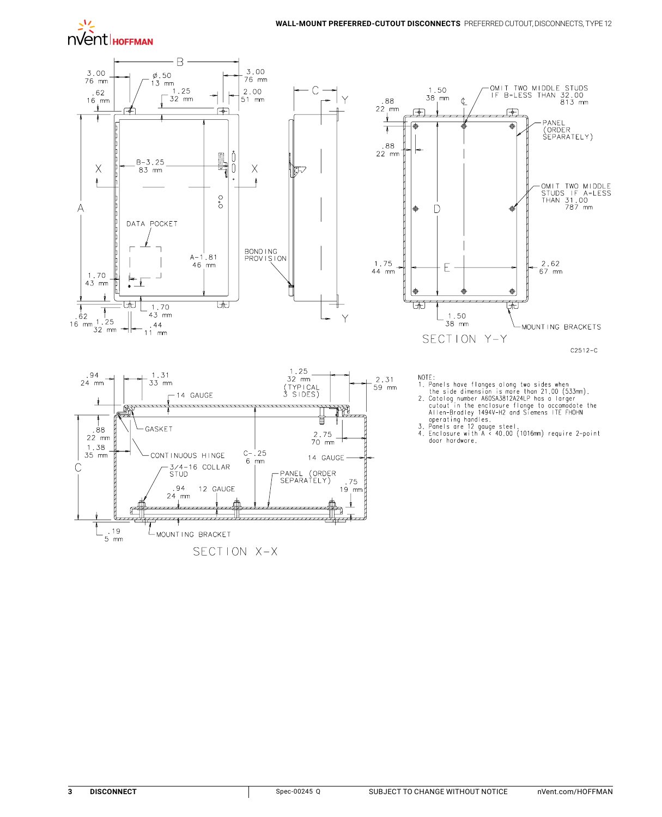



SECTION X-X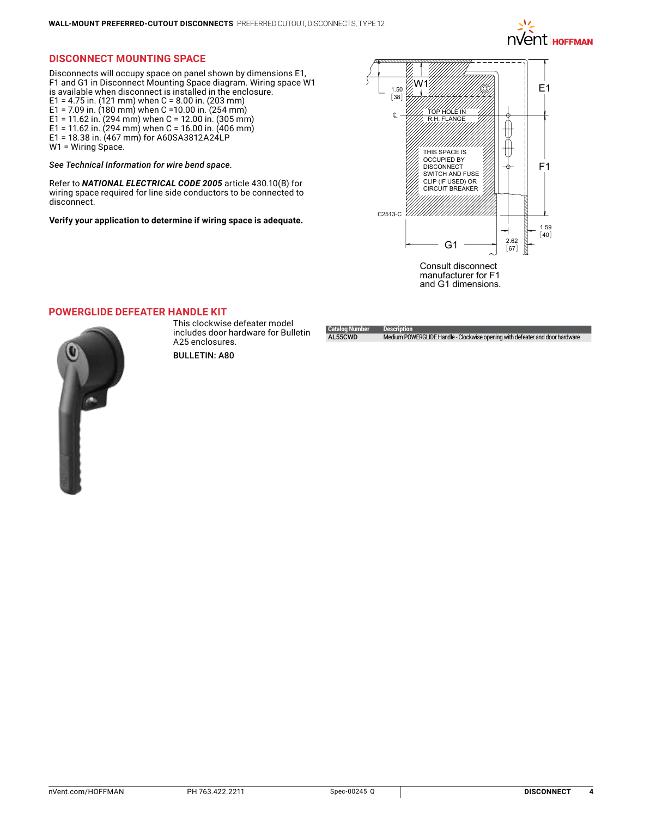

# **Disconnect Mounting Space**

Disconnects will occupy space on panel shown by dimensions E1, F1 and G1 in Disconnect Mounting Space diagram. Wiring space W1 is available when disconnect is installed in the enclosure. E1 = 4.75 in. (121 mm) when C = 8.00 in. (203 mm) E1 = 7.09 in. (180 mm) when C = 10.00 in. (254 mm) E1 = 11.62 in. (294 mm) when C = 12.00 in. (305 mm) E1 = 11.62 in. (294 mm) when C = 16.00 in. (406 mm) E1 = 18.38 in. (467 mm) for A60SA3812A24LP W1 = Wiring Space.

*See Technical Information for wire bend space.* 

Refer to *NATIONAL ELECTRICAL CODE 2005* article 430.10(B) for wiring space required for line side conductors to be connected to disconnect.

**Verify your application to determine if wiring space is adequate.**



**POWERGLIDE [Defeater Handle Kit](http://hoffman.nvent.com/en/hoffman/POWERGLIDE-Defeater-Handle-Kit)**



This clockwise defeater model includes door hardware for Bulletin A25 enclosures.

BULLETIN: A80

**Catalog Num**<br>**AL55CWD** Medium POWERGLIDE Handle - Clockwise opening with defeater and door hardw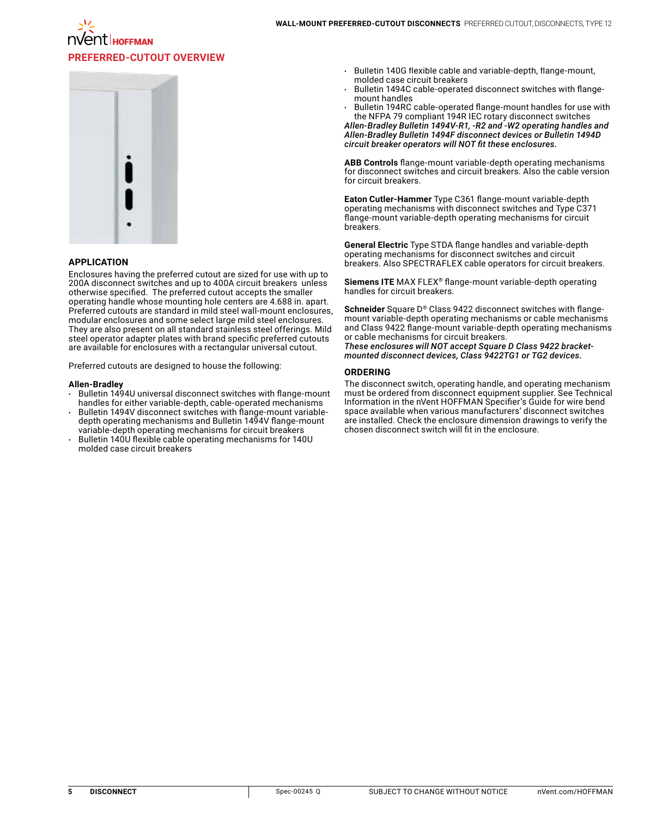

#### **APPLICATION**

Enclosures having the preferred cutout are sized for use with up to 200A disconnect switches and up to 400A circuit breakers unless otherwise specified. The preferred cutout accepts the smaller operating handle whose mounting hole centers are 4.688 in. apart. Preferred cutouts are standard in mild steel wall-mount enclosures, modular enclosures and some select large mild steel enclosures. They are also present on all standard stainless steel offerings. Mild steel operator adapter plates with brand specific preferred cutouts are available for enclosures with a rectangular universal cutout.

Preferred cutouts are designed to house the following:

#### **Allen-Bradley**

- Bulletin 1494U universal disconnect switches with flange-mount handles for either variable-depth, cable-operated mechanisms
- Bulletin 1494V disconnect switches with flange-mount variabledepth operating mechanisms and Bulletin 1494V flange-mount variable-depth operating mechanisms for circuit breakers
- Bulletin 140U flexible cable operating mechanisms for 140U molded case circuit breakers
- Bulletin 140G flexible cable and variable-depth, flange-mount, molded case circuit breakers
- Bulletin 1494C cable-operated disconnect switches with flangemount handles
- Bulletin 194RC cable-operated flange-mount handles for use with the NFPA 79 compliant 194R IEC rotary disconnect switches

*Allen-Bradley Bulletin 1494V-R1, -R2 and -W2 operating handles and Allen-Bradley Bulletin 1494F disconnect devices or Bulletin 1494D circuit breaker operators will NOT fit these enclosures.*

**ABB Controls** flange-mount variable-depth operating mechanisms for disconnect switches and circuit breakers. Also the cable version for circuit breakers.

**Eaton Cutler-Hammer** Type C361 flange-mount variable-depth operating mechanisms with disconnect switches and Type C371 flange-mount variable-depth operating mechanisms for circuit breakers.

**General Electric** Type STDA flange handles and variable-depth operating mechanisms for disconnect switches and circuit breakers. Also SPECTRAFLEX cable operators for circuit breakers.

**Siemens ITE** MAX FLEX® flange-mount variable-depth operating handles for circuit breakers.

**Schneider** Square D® Class 9422 disconnect switches with flangemount variable-depth operating mechanisms or cable mechanisms and Class 9422 flange-mount variable-depth operating mechanisms or cable mechanisms for circuit breakers. *These enclosures will NOT accept Square D Class 9422 bracket-*

*mounted disconnect devices, Class 9422TG1 or TG2 devices.* 

### **ORDERING**

The disconnect switch, operating handle, and operating mechanism must be ordered from disconnect equipment supplier. See Technical Information in the nVent HOFFMAN Specifier's Guide for wire bend space available when various manufacturers' disconnect switches are installed. Check the enclosure dimension drawings to verify the chosen disconnect switch will fit in the enclosure.